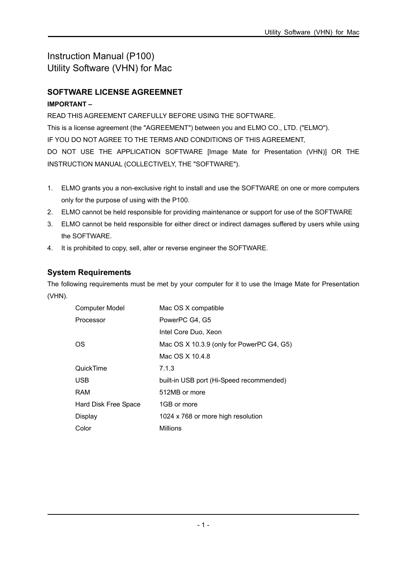Instruction Manual (P100) Utility Software (VHN) for Mac

# **SOFTWARE LICENSE AGREEMNET**

# **IMPORTANT –**

READ THIS AGREEMENT CAREFULLY BEFORE USING THE SOFTWARE. This is a license agreement (the "AGREEMENT") between you and ELMO CO., LTD. ("ELMO"). IF YOU DO NOT AGREE TO THE TERMS AND CONDITIONS OF THIS AGREEMENT, DO NOT USE THE APPLICATION SOFTWARE [Image Mate for Presentation (VHN)] OR THE INSTRUCTION MANUAL (COLLECTIVELY, THE "SOFTWARE").

- 1. ELMO grants you a non-exclusive right to install and use the SOFTWARE on one or more computers only for the purpose of using with the P100.
- 2. ELMO cannot be held responsible for providing maintenance or support for use of the SOFTWARE
- 3. ELMO cannot be held responsible for either direct or indirect damages suffered by users while using the SOFTWARE.
- 4. It is prohibited to copy, sell, alter or reverse engineer the SOFTWARE.

# **System Requirements**

The following requirements must be met by your computer for it to use the Image Mate for Presentation (VHN).

| <b>Computer Model</b> | Mac OS X compatible                       |
|-----------------------|-------------------------------------------|
| Processor             | PowerPC G4, G5                            |
|                       | Intel Core Duo, Xeon                      |
| OS                    | Mac OS X 10.3.9 (only for PowerPC G4, G5) |
|                       | Mac OS X 10.4.8                           |
| QuickTime             | 7.1.3                                     |
| <b>USB</b>            | built-in USB port (Hi-Speed recommended)  |
| RAM                   | 512MB or more                             |
| Hard Disk Free Space  | 1GB or more                               |
| Display               | 1024 x 768 or more high resolution        |
| Color                 | Millions                                  |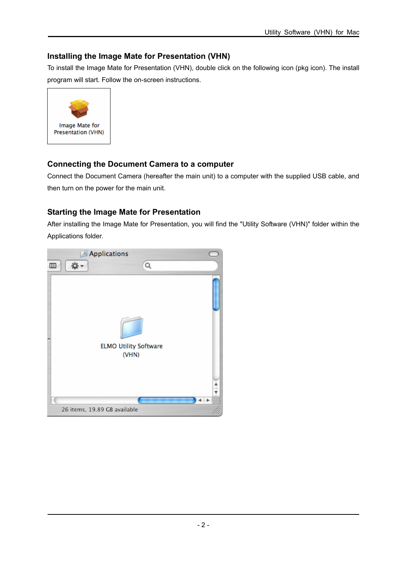# **Installing the Image Mate for Presentation (VHN)**

To install the Image Mate for Presentation (VHN), double click on the following icon (pkg icon). The install program will start. Follow the on-screen instructions.



# **Connecting the Document Camera to a computer**

Connect the Document Camera (hereafter the main unit) to a computer with the supplied USB cable, and then turn on the power for the main unit.

# **Starting the Image Mate for Presentation**

After installing the Image Mate for Presentation, you will find the "Utility Software (VHN)" folder within the Applications folder.

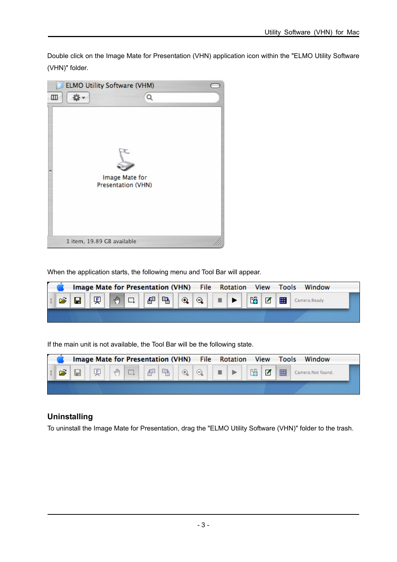Double click on the Image Mate for Presentation (VHN) application icon within the "ELMO Utility Software (VHN)" folder.

| ▥ | <b>ELMO Utility Software (VHM)</b><br>Q |  |
|---|-----------------------------------------|--|
|   | Image Mate for<br>Presentation (VHN)    |  |
|   | 1 item, 19.89 GB available              |  |

When the application starts, the following menu and Tool Bar will appear.

|    |   |            |   |   |            |              | Image Mate for Presentation (VHN) File Rotation View Tools |    |   |   | Window       |  |
|----|---|------------|---|---|------------|--------------|------------------------------------------------------------|----|---|---|--------------|--|
| É. | 項 | $\sqrt{m}$ | 酃 | 暭 | $^{\circ}$ | $\mathbf{Q}$ |                                                            | P8 | О | 囲 | Camera:Ready |  |
|    |   |            |   |   |            |              |                                                            |    |   |   |              |  |

If the main unit is not available, the Tool Bar will be the following state.

|     |  |   |  | Image Mate for Presentation (VHN) File Rotation View |         |  |  |         |               |            |   | Tools | Window             |
|-----|--|---|--|------------------------------------------------------|---------|--|--|---------|---------------|------------|---|-------|--------------------|
| r i |  | F |  | 、『ロ                                                  | $H = 2$ |  |  | $ Q $ . | $\rightarrow$ | $\Box$ Pos | ☑ | 囲     | Camera: Not found. |
|     |  |   |  |                                                      |         |  |  |         |               |            |   |       |                    |

## **Uninstalling**

To uninstall the Image Mate for Presentation, drag the "ELMO Utility Software (VHN)" folder to the trash.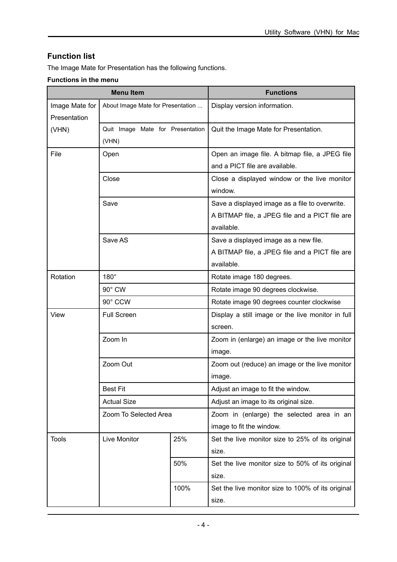# **Function list**

The Image Mate for Presentation has the following functions.

## **Functions in the menu**

|                | <b>Menu Item</b>                  |      | <b>Functions</b>                                  |  |  |
|----------------|-----------------------------------|------|---------------------------------------------------|--|--|
| Image Mate for | About Image Mate for Presentation |      | Display version information.                      |  |  |
| Presentation   |                                   |      |                                                   |  |  |
| (VHN)          | Quit Image Mate for Presentation  |      | Quit the Image Mate for Presentation.             |  |  |
|                | (VHN)                             |      |                                                   |  |  |
| File           | Open                              |      | Open an image file. A bitmap file, a JPEG file    |  |  |
|                |                                   |      | and a PICT file are available.                    |  |  |
|                | Close                             |      | Close a displayed window or the live monitor      |  |  |
|                |                                   |      | window.                                           |  |  |
|                | Save                              |      | Save a displayed image as a file to overwrite.    |  |  |
|                |                                   |      | A BITMAP file, a JPEG file and a PICT file are    |  |  |
|                |                                   |      | available.                                        |  |  |
|                | Save AS                           |      | Save a displayed image as a new file.             |  |  |
|                |                                   |      | A BITMAP file, a JPEG file and a PICT file are    |  |  |
|                |                                   |      | available.                                        |  |  |
| Rotation       | $180^\circ$                       |      | Rotate image 180 degrees.                         |  |  |
|                | 90° CW                            |      | Rotate image 90 degrees clockwise.                |  |  |
|                | 90° CCW                           |      | Rotate image 90 degrees counter clockwise         |  |  |
| View           | <b>Full Screen</b>                |      | Display a still image or the live monitor in full |  |  |
|                |                                   |      | screen.                                           |  |  |
|                | Zoom In                           |      | Zoom in (enlarge) an image or the live monitor    |  |  |
|                |                                   |      | image.                                            |  |  |
|                | Zoom Out                          |      | Zoom out (reduce) an image or the live monitor    |  |  |
|                |                                   |      | image.                                            |  |  |
|                | <b>Best Fit</b>                   |      | Adjust an image to fit the window.                |  |  |
|                | <b>Actual Size</b>                |      | Adjust an image to its original size.             |  |  |
|                | Zoom To Selected Area             |      | Zoom in (enlarge) the selected area in an         |  |  |
|                |                                   |      | image to fit the window.                          |  |  |
| <b>Tools</b>   | Live Monitor                      | 25%  | Set the live monitor size to 25% of its original  |  |  |
|                |                                   |      | size.                                             |  |  |
|                |                                   | 50%  | Set the live monitor size to 50% of its original  |  |  |
|                |                                   |      | size.                                             |  |  |
|                |                                   | 100% | Set the live monitor size to 100% of its original |  |  |
|                |                                   |      | size.                                             |  |  |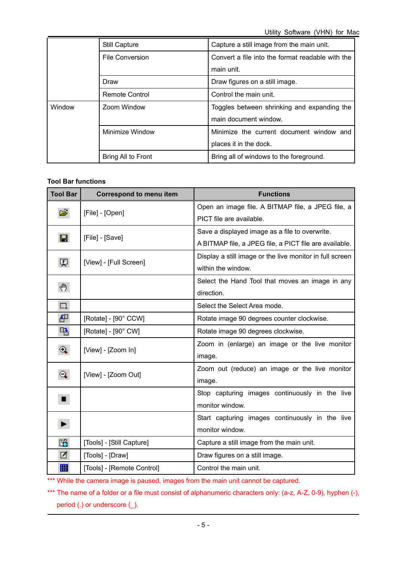Utility Software (VHN) for Mac

|        | Still Capture          | Capture a still image from the main unit.        |
|--------|------------------------|--------------------------------------------------|
|        | <b>File Conversion</b> | Convert a file into the format readable with the |
|        |                        | main unit.                                       |
|        | Draw                   | Draw figures on a still image.                   |
|        | Remote Control         | Control the main unit.                           |
| Window | Zoom Window            | Toggles between shrinking and expanding the      |
|        |                        | main document window.                            |
|        | Minimize Window        | Minimize the current document window and         |
|        |                        | places it in the dock.                           |
|        | Bring All to Front     | Bring all of windows to the foreground.          |

#### **Tool Bar functions**

| <b>Tool Bar</b> | <b>Correspond to menu item</b> | <b>Functions</b>                                         |
|-----------------|--------------------------------|----------------------------------------------------------|
| G.              |                                | Open an image file. A BITMAP file, a JPEG file, a        |
|                 | [File] - [Open]                | PICT file are available.                                 |
|                 | [File] - [Save]                | Save a displayed image as a file to overwrite.           |
| 8               |                                | A BITMAP file, a JPEG file, a PICT file are available.   |
|                 | [View] - [Full Screen]         | Display a still image or the live monitor in full screen |
| 項               |                                | within the window.                                       |
| √‼৷             |                                | Select the Hand Tool that moves an image in any          |
|                 |                                | direction.                                               |
| $\Box$          |                                | Select the Select Area mode.                             |
| 串               | [Rotate] - [90° CCW]           | Rotate image 90 degrees counter clockwise.               |
| 睁               | [Rotate] - [90° CW]            | Rotate image 90 degrees clockwise.                       |
| Q               |                                | Zoom in (enlarge) an image or the live monitor           |
|                 | [View] - [Zoom In]             | image.                                                   |
| $\mathbf{Q}$    | [View] - [Zoom Out]            | Zoom out (reduce) an image or the live monitor           |
|                 |                                | image.                                                   |
|                 |                                | Stop capturing images continuously in the live           |
|                 |                                | monitor window.                                          |
|                 |                                | Start capturing images continuously in the live          |
|                 |                                | monitor window.                                          |
| Da.             | [Tools] - [Still Capture]      | Capture a still image from the main unit.                |
| ☑               | [Tools] - [Draw]               | Draw figures on a still image.                           |
| 囲               | [Tools] - [Remote Control]     | Control the main unit.                                   |

\*\*\* While the camera image is paused, images from the main unit cannot be captured.

\*\*\* The name of a folder or a file must consist of alphanumeric characters only: (a-z, A-Z, 0-9), hyphen (-), period (.) or underscore (\_).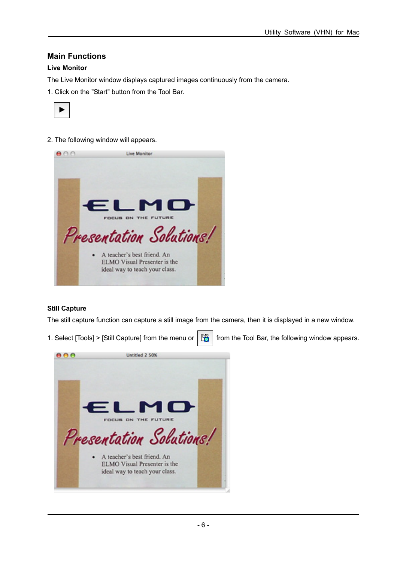# **Main Functions**

## **Live Monitor**

The Live Monitor window displays captured images continuously from the camera.

1. Click on the "Start" button from the Tool Bar.



2. The following window will appears.



## **Still Capture**

The still capture function can capture a still image from the camera, then it is displayed in a new window.

1. Select [Tools] > [Still Capture] from the menu or  $\|\mathbb{B}\|$  from the Tool Bar, the following window appears.

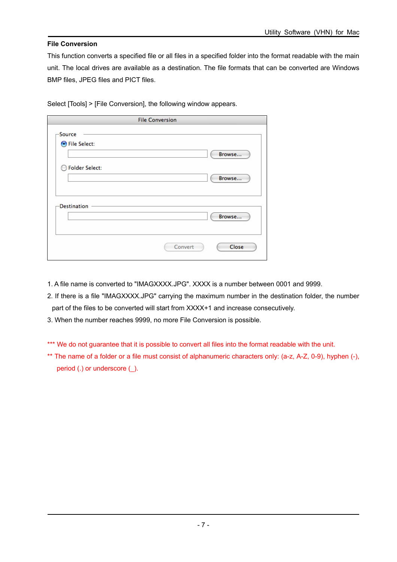#### **File Conversion**

This function converts a specified file or all files in a specified folder into the format readable with the main unit. The local drives are available as a destination. The file formats that can be converted are Windows BMP files, JPEG files and PICT files.

|                    | <b>File Conversion</b> |
|--------------------|------------------------|
| Source             |                        |
| ⊙ File Select:     |                        |
|                    | Browse                 |
| ○ Folder Select:   |                        |
|                    | Browse                 |
|                    |                        |
|                    |                        |
| <b>Destination</b> |                        |
|                    | Browse                 |
|                    |                        |
|                    |                        |
|                    | Close<br>Convert       |
|                    |                        |

Select [Tools] > [File Conversion], the following window appears.

- 1. A file name is converted to "IMAGXXXX.JPG". XXXX is a number between 0001 and 9999.
- 2. If there is a file "IMAGXXXX.JPG" carrying the maximum number in the destination folder, the number part of the files to be converted will start from XXXX+1 and increase consecutively.
- 3. When the number reaches 9999, no more File Conversion is possible.

\*\*\* We do not guarantee that it is possible to convert all files into the format readable with the unit.

\*\* The name of a folder or a file must consist of alphanumeric characters only: (a-z, A-Z, 0-9), hyphen (-), period (.) or underscore (\_).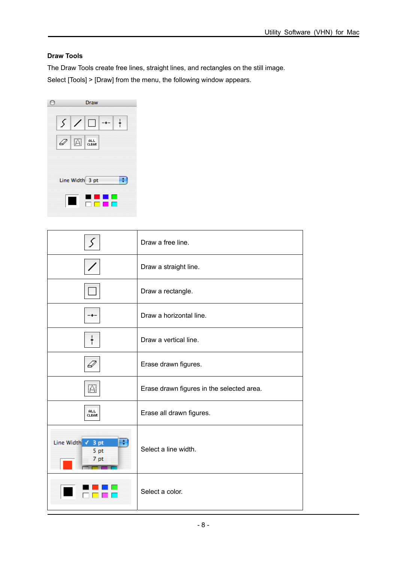## **Draw Tools**

The Draw Tools create free lines, straight lines, and rectangles on the still image. Select [Tools] > [Draw] from the menu, the following window appears.

| O |   |                          | Draw         |                     |  |
|---|---|--------------------------|--------------|---------------------|--|
|   | 5 | $\overline{\phantom{a}}$ | $\Box$       |                     |  |
|   |   | IA                       | ALL<br>CLEAR |                     |  |
|   |   |                          |              |                     |  |
|   |   | Line Width 3 pt          |              |                     |  |
|   |   |                          |              | <b>.</b><br>O D D D |  |

|                                        | Draw a free line.                         |
|----------------------------------------|-------------------------------------------|
|                                        | Draw a straight line.                     |
|                                        | Draw a rectangle.                         |
| -+-                                    | Draw a horizontal line.                   |
| t                                      | Draw a vertical line.                     |
| 4                                      | Erase drawn figures.                      |
| ▧                                      | Erase drawn figures in the selected area. |
| <b>ALL</b><br><b>CLEAR</b>             | Erase all drawn figures.                  |
| Line Width √ 3 pt<br>ĸ<br>5 pt<br>7 pt | Select a line width.                      |
|                                        | Select a color.                           |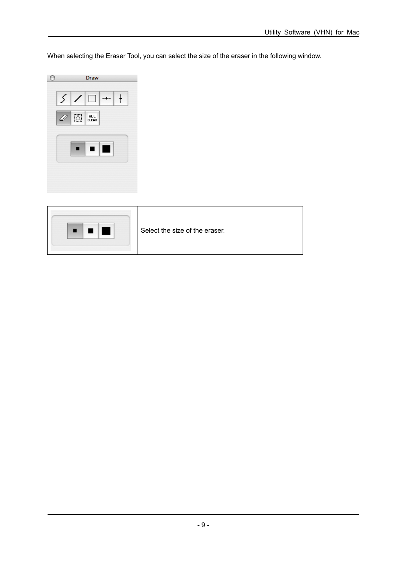When selecting the Eraser Tool, you can select the size of the eraser in the following window.



| ▬ | Select the size of the eraser. |
|---|--------------------------------|
|---|--------------------------------|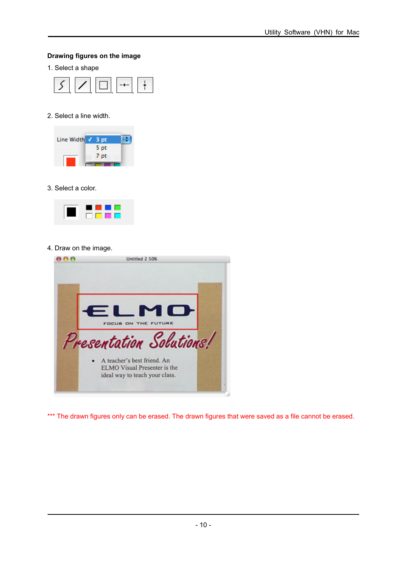#### **Drawing figures on the image**

1. Select a shape



2. Select a line width.



3. Select a color.



4. Draw on the image.



\*\*\* The drawn figures only can be erased. The drawn figures that were saved as a file cannot be erased.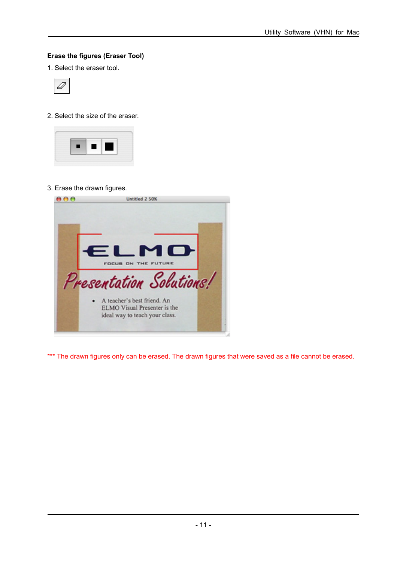## **Erase the figures (Eraser Tool)**

1. Select the eraser tool.



2. Select the size of the eraser.



3. Erase the drawn figures.



\*\*\* The drawn figures only can be erased. The drawn figures that were saved as a file cannot be erased.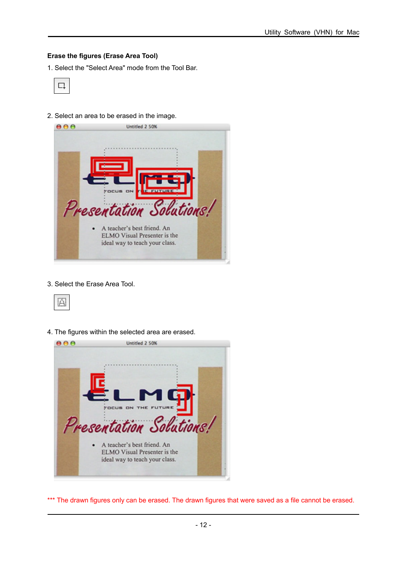#### **Erase the figures (Erase Area Tool)**

1. Select the "Select Area" mode from the Tool Bar.



2. Select an area to be erased in the image.



3. Select the Erase Area Tool.



4. The figures within the selected area are erased.



\*\*\* The drawn figures only can be erased. The drawn figures that were saved as a file cannot be erased.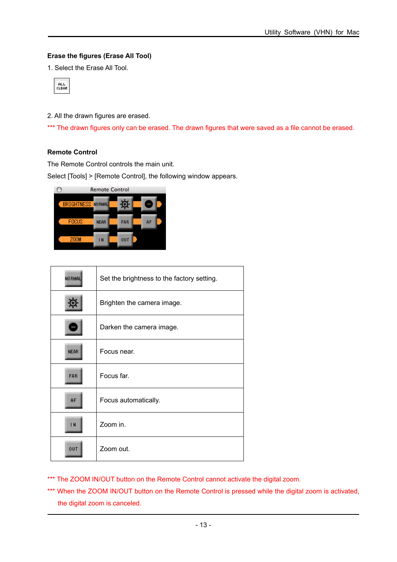#### **Erase the figures (Erase All Tool)**

1. Select the Erase All Tool.



- 2. All the drawn figures are erased.
- \*\*\* The drawn figures only can be erased. The drawn figures that were saved as a file cannot be erased.

#### **Remote Control**

The Remote Control controls the main unit.

Select [Tools] > [Remote Control], the following window appears.



| <b>NO RMAL</b> | Set the brightness to the factory setting. |
|----------------|--------------------------------------------|
|                | Brighten the camera image.                 |
|                | Darken the camera image.                   |
| <b>NEAR</b>    | Focus near.                                |
| <b>FAR</b>     | Focus far.                                 |
| AF.            | Focus automatically.                       |
| IN.            | Zoom in.                                   |
| <b>OUT</b>     | Zoom out.                                  |

- \*\*\* The ZOOM IN/OUT button on the Remote Control cannot activate the digital zoom.
- \*\*\* When the ZOOM IN/OUT button on the Remote Control is pressed while the digital zoom is activated, the digital zoom is canceled.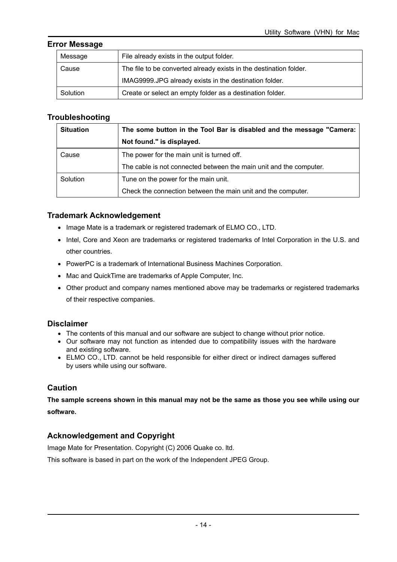## **Error Message**

| Message  | File already exists in the output folder.                          |
|----------|--------------------------------------------------------------------|
| Cause    | The file to be converted already exists in the destination folder. |
|          | IMAG9999.JPG already exists in the destination folder.             |
| Solution | Create or select an empty folder as a destination folder.          |

## **Troubleshooting**

| <b>Situation</b> | The some button in the Tool Bar is disabled and the message "Camera: |
|------------------|----------------------------------------------------------------------|
|                  | Not found." is displayed.                                            |
| Cause            | The power for the main unit is turned off.                           |
|                  | The cable is not connected between the main unit and the computer.   |
| Solution         | Tune on the power for the main unit.                                 |
|                  | Check the connection between the main unit and the computer.         |

# **Trademark Acknowledgement**

- Image Mate is a trademark or registered trademark of ELMO CO., LTD.
- Intel, Core and Xeon are trademarks or registered trademarks of Intel Corporation in the U.S. and other countries.
- PowerPC is a trademark of International Business Machines Corporation.
- Mac and QuickTime are trademarks of Apple Computer, Inc.
- Other product and company names mentioned above may be trademarks or registered trademarks of their respective companies.

## **Disclaimer**

- The contents of this manual and our software are subject to change without prior notice.
- Our software may not function as intended due to compatibility issues with the hardware and existing software.
- ELMO CO., LTD, cannot be held responsible for either direct or indirect damages suffered by users while using our software.

# **Caution**

**The sample screens shown in this manual may not be the same as those you see while using our software.**

# **Acknowledgement and Copyright**

Image Mate for Presentation. Copyright (C) 2006 Quake co. ltd.

This software is based in part on the work of the Independent JPEG Group.